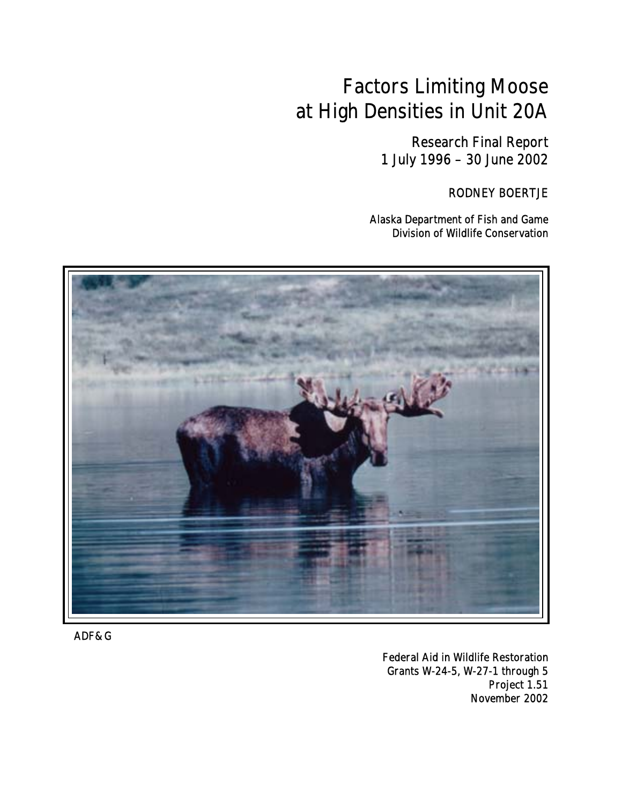# Factors Limiting Moose at High Densities in Unit 20A

Research Final Report 1 July 1996 – 30 June 2002

RODNEY BOERTJE

Alaska Department of Fish and Game Division of Wildlife Conservation



ADF&G

Federal Aid in Wildlife Restoration Grants W-24-5, W-27-1 through 5 Project 1.51 November 2002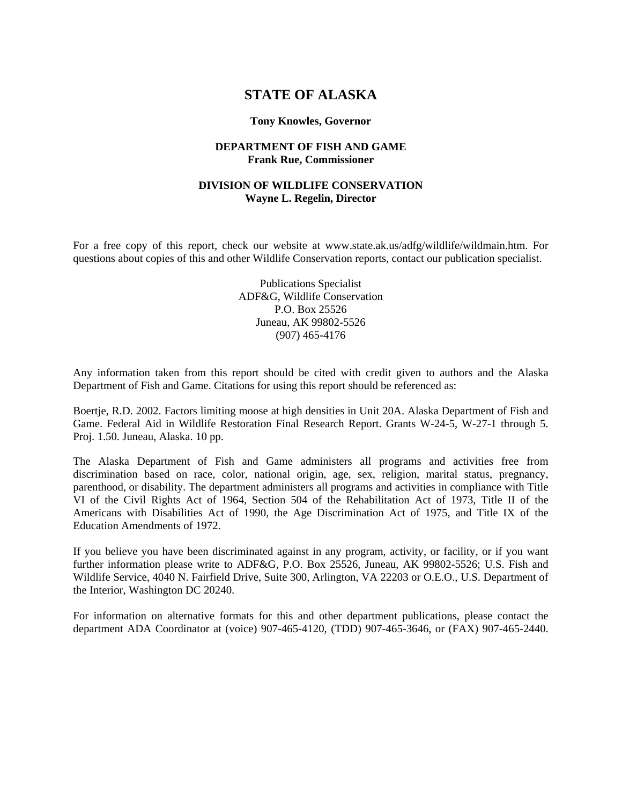## **STATE OF ALASKA**

#### **Tony Knowles, Governor**

#### **DEPARTMENT OF FISH AND GAME Frank Rue, Commissioner**

#### **DIVISION OF WILDLIFE CONSERVATION Wayne L. Regelin, Director**

For a free copy of this report, check our website at www.state.ak.us/adfg/wildlife/wildmain.htm. For questions about copies of this and other Wildlife Conservation reports, contact our publication specialist.

> Publications Specialist ADF&G, Wildlife Conservation P.O. Box 25526 Juneau, AK 99802-5526 (907) 465-4176

Any information taken from this report should be cited with credit given to authors and the Alaska Department of Fish and Game. Citations for using this report should be referenced as:

Boertje, R.D. 2002. Factors limiting moose at high densities in Unit 20A. Alaska Department of Fish and Game. Federal Aid in Wildlife Restoration Final Research Report. Grants W-24-5, W-27-1 through 5. Proj. 1.50. Juneau, Alaska. 10 pp.

The Alaska Department of Fish and Game administers all programs and activities free from discrimination based on race, color, national origin, age, sex, religion, marital status, pregnancy, parenthood, or disability. The department administers all programs and activities in compliance with Title VI of the Civil Rights Act of 1964, Section 504 of the Rehabilitation Act of 1973, Title II of the Americans with Disabilities Act of 1990, the Age Discrimination Act of 1975, and Title IX of the Education Amendments of 1972.

If you believe you have been discriminated against in any program, activity, or facility, or if you want further information please write to ADF&G, P.O. Box 25526, Juneau, AK 99802-5526; U.S. Fish and Wildlife Service, 4040 N. Fairfield Drive, Suite 300, Arlington, VA 22203 or O.E.O., U.S. Department of the Interior, Washington DC 20240.

For information on alternative formats for this and other department publications, please contact the department ADA Coordinator at (voice) 907-465-4120, (TDD) 907-465-3646, or (FAX) 907-465-2440.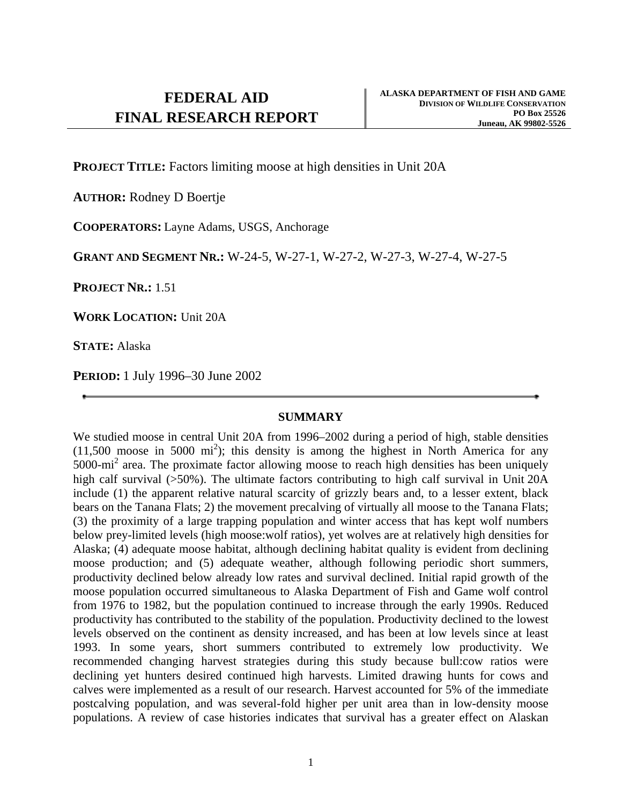**PROJECT TITLE:** Factors limiting moose at high densities in Unit 20A

**AUTHOR:** Rodney D Boertje

**COOPERATORS:** Layne Adams, USGS, Anchorage

**GRANT AND SEGMENT NR.:** W-24-5, W-27-1, W-27-2, W-27-3, W-27-4, W-27-5

**PROJECT NR.:** 1.51

**WORK LOCATION:** Unit 20A

**STATE:** Alaska

**PERIOD:** 1 July 1996–30 June 2002

## **SUMMARY**

We studied moose in central Unit 20A from 1996–2002 during a period of high, stable densities  $(11,500 \text{ moose in } 5000 \text{ mi}^2)$ ; this density is among the highest in North America for any 5000-mi<sup>2</sup> area. The proximate factor allowing moose to reach high densities has been uniquely high calf survival (>50%). The ultimate factors contributing to high calf survival in Unit 20A include (1) the apparent relative natural scarcity of grizzly bears and, to a lesser extent, black bears on the Tanana Flats; 2) the movement precalving of virtually all moose to the Tanana Flats; (3) the proximity of a large trapping population and winter access that has kept wolf numbers below prey-limited levels (high moose:wolf ratios), yet wolves are at relatively high densities for Alaska; (4) adequate moose habitat, although declining habitat quality is evident from declining moose production; and (5) adequate weather, although following periodic short summers, productivity declined below already low rates and survival declined. Initial rapid growth of the moose population occurred simultaneous to Alaska Department of Fish and Game wolf control from 1976 to 1982, but the population continued to increase through the early 1990s. Reduced productivity has contributed to the stability of the population. Productivity declined to the lowest levels observed on the continent as density increased, and has been at low levels since at least 1993. In some years, short summers contributed to extremely low productivity. We recommended changing harvest strategies during this study because bull:cow ratios were declining yet hunters desired continued high harvests. Limited drawing hunts for cows and calves were implemented as a result of our research. Harvest accounted for 5% of the immediate postcalving population, and was several-fold higher per unit area than in low-density moose populations. A review of case histories indicates that survival has a greater effect on Alaskan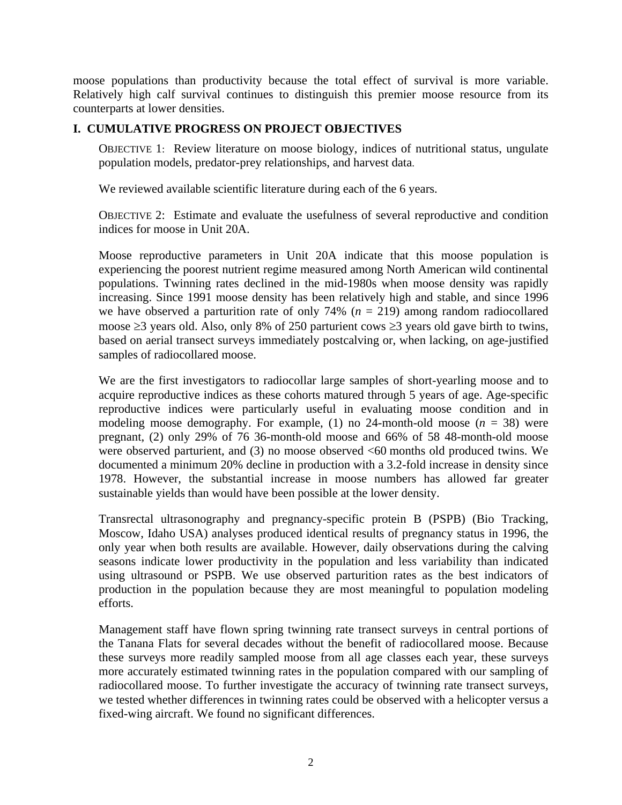moose populations than productivity because the total effect of survival is more variable. Relatively high calf survival continues to distinguish this premier moose resource from its counterparts at lower densities.

## **I. CUMULATIVE PROGRESS ON PROJECT OBJECTIVES**

OBJECTIVE 1: Review literature on moose biology, indices of nutritional status, ungulate population models, predator-prey relationships, and harvest data.

We reviewed available scientific literature during each of the 6 years.

OBJECTIVE 2: Estimate and evaluate the usefulness of several reproductive and condition indices for moose in Unit 20A.

Moose reproductive parameters in Unit 20A indicate that this moose population is experiencing the poorest nutrient regime measured among North American wild continental populations. Twinning rates declined in the mid-1980s when moose density was rapidly increasing. Since 1991 moose density has been relatively high and stable, and since 1996 we have observed a parturition rate of only 74% ( $n = 219$ ) among random radiocollared moose ≥3 years old. Also, only 8% of 250 parturient cows ≥3 years old gave birth to twins, based on aerial transect surveys immediately postcalving or, when lacking, on age-justified samples of radiocollared moose.

We are the first investigators to radiocollar large samples of short-yearling moose and to acquire reproductive indices as these cohorts matured through 5 years of age. Age-specific reproductive indices were particularly useful in evaluating moose condition and in modeling moose demography. For example, (1) no 24-month-old moose  $(n = 38)$  were pregnant, (2) only 29% of 76 36-month-old moose and 66% of 58 48-month-old moose were observed parturient, and (3) no moose observed <60 months old produced twins. We documented a minimum 20% decline in production with a 3.2-fold increase in density since 1978. However, the substantial increase in moose numbers has allowed far greater sustainable yields than would have been possible at the lower density.

Transrectal ultrasonography and pregnancy-specific protein B (PSPB) (Bio Tracking, Moscow, Idaho USA) analyses produced identical results of pregnancy status in 1996, the only year when both results are available. However, daily observations during the calving seasons indicate lower productivity in the population and less variability than indicated using ultrasound or PSPB. We use observed parturition rates as the best indicators of production in the population because they are most meaningful to population modeling efforts.

Management staff have flown spring twinning rate transect surveys in central portions of the Tanana Flats for several decades without the benefit of radiocollared moose. Because these surveys more readily sampled moose from all age classes each year, these surveys more accurately estimated twinning rates in the population compared with our sampling of radiocollared moose. To further investigate the accuracy of twinning rate transect surveys, we tested whether differences in twinning rates could be observed with a helicopter versus a fixed-wing aircraft. We found no significant differences.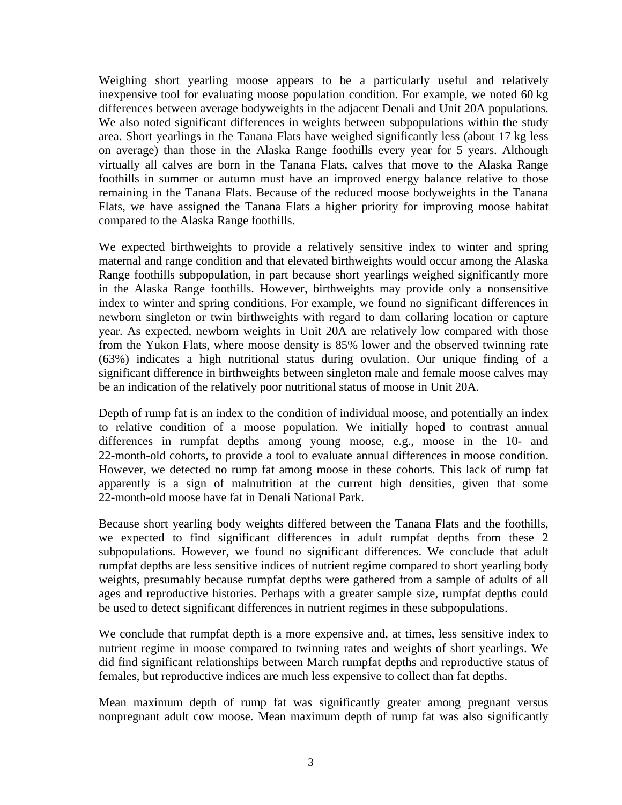Weighing short yearling moose appears to be a particularly useful and relatively inexpensive tool for evaluating moose population condition. For example, we noted 60 kg differences between average bodyweights in the adjacent Denali and Unit 20A populations. We also noted significant differences in weights between subpopulations within the study area. Short yearlings in the Tanana Flats have weighed significantly less (about 17 kg less on average) than those in the Alaska Range foothills every year for 5 years. Although virtually all calves are born in the Tanana Flats, calves that move to the Alaska Range foothills in summer or autumn must have an improved energy balance relative to those remaining in the Tanana Flats. Because of the reduced moose bodyweights in the Tanana Flats, we have assigned the Tanana Flats a higher priority for improving moose habitat compared to the Alaska Range foothills.

We expected birthweights to provide a relatively sensitive index to winter and spring maternal and range condition and that elevated birthweights would occur among the Alaska Range foothills subpopulation, in part because short yearlings weighed significantly more in the Alaska Range foothills. However, birthweights may provide only a nonsensitive index to winter and spring conditions. For example, we found no significant differences in newborn singleton or twin birthweights with regard to dam collaring location or capture year. As expected, newborn weights in Unit 20A are relatively low compared with those from the Yukon Flats, where moose density is 85% lower and the observed twinning rate (63%) indicates a high nutritional status during ovulation. Our unique finding of a significant difference in birthweights between singleton male and female moose calves may be an indication of the relatively poor nutritional status of moose in Unit 20A.

Depth of rump fat is an index to the condition of individual moose, and potentially an index to relative condition of a moose population. We initially hoped to contrast annual differences in rumpfat depths among young moose, e.g., moose in the 10- and 22-month-old cohorts, to provide a tool to evaluate annual differences in moose condition. However, we detected no rump fat among moose in these cohorts. This lack of rump fat apparently is a sign of malnutrition at the current high densities, given that some 22-month-old moose have fat in Denali National Park.

Because short yearling body weights differed between the Tanana Flats and the foothills, we expected to find significant differences in adult rumpfat depths from these 2 subpopulations. However, we found no significant differences. We conclude that adult rumpfat depths are less sensitive indices of nutrient regime compared to short yearling body weights, presumably because rumpfat depths were gathered from a sample of adults of all ages and reproductive histories. Perhaps with a greater sample size, rumpfat depths could be used to detect significant differences in nutrient regimes in these subpopulations.

We conclude that rumpfat depth is a more expensive and, at times, less sensitive index to nutrient regime in moose compared to twinning rates and weights of short yearlings. We did find significant relationships between March rumpfat depths and reproductive status of females, but reproductive indices are much less expensive to collect than fat depths.

Mean maximum depth of rump fat was significantly greater among pregnant versus nonpregnant adult cow moose. Mean maximum depth of rump fat was also significantly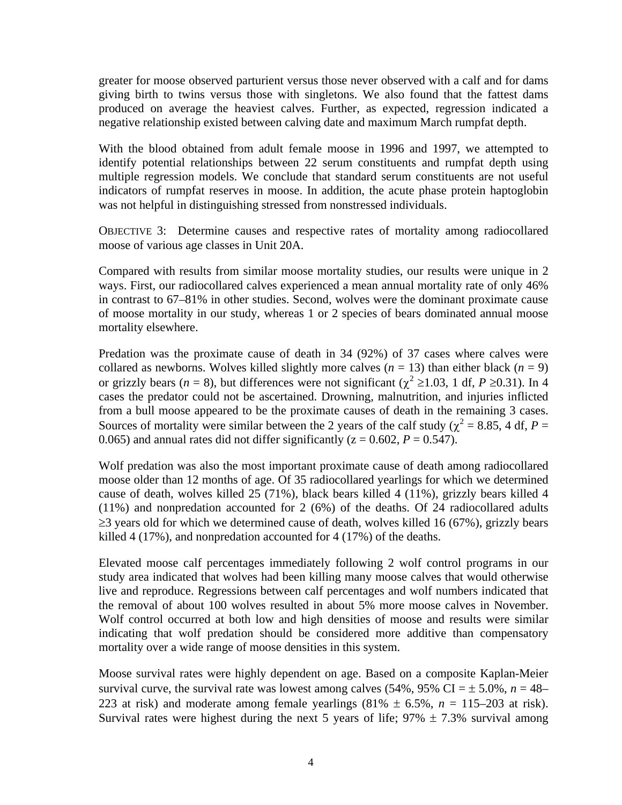greater for moose observed parturient versus those never observed with a calf and for dams giving birth to twins versus those with singletons. We also found that the fattest dams produced on average the heaviest calves. Further, as expected, regression indicated a negative relationship existed between calving date and maximum March rumpfat depth.

With the blood obtained from adult female moose in 1996 and 1997, we attempted to identify potential relationships between 22 serum constituents and rumpfat depth using multiple regression models. We conclude that standard serum constituents are not useful indicators of rumpfat reserves in moose. In addition, the acute phase protein haptoglobin was not helpful in distinguishing stressed from nonstressed individuals.

OBJECTIVE 3: Determine causes and respective rates of mortality among radiocollared moose of various age classes in Unit 20A.

Compared with results from similar moose mortality studies, our results were unique in 2 ways. First, our radiocollared calves experienced a mean annual mortality rate of only 46% in contrast to 67–81% in other studies. Second, wolves were the dominant proximate cause of moose mortality in our study, whereas 1 or 2 species of bears dominated annual moose mortality elsewhere.

Predation was the proximate cause of death in 34 (92%) of 37 cases where calves were collared as newborns. Wolves killed slightly more calves  $(n = 13)$  than either black  $(n = 9)$ or grizzly bears ( $n = 8$ ), but differences were not significant ( $\chi^2 \ge 1.03$ , 1 df,  $P \ge 0.31$ ). In 4 cases the predator could not be ascertained. Drowning, malnutrition, and injuries inflicted from a bull moose appeared to be the proximate causes of death in the remaining 3 cases. Sources of mortality were similar between the 2 years of the calf study ( $\chi^2$  = 8.85, 4 df, *P* = 0.065) and annual rates did not differ significantly  $(z = 0.602, P = 0.547)$ .

Wolf predation was also the most important proximate cause of death among radiocollared moose older than 12 months of age. Of 35 radiocollared yearlings for which we determined cause of death, wolves killed 25 (71%), black bears killed 4 (11%), grizzly bears killed 4 (11%) and nonpredation accounted for 2 (6%) of the deaths. Of 24 radiocollared adults  $\geq$ 3 years old for which we determined cause of death, wolves killed 16 (67%), grizzly bears killed 4 (17%), and nonpredation accounted for 4 (17%) of the deaths.

Elevated moose calf percentages immediately following 2 wolf control programs in our study area indicated that wolves had been killing many moose calves that would otherwise live and reproduce. Regressions between calf percentages and wolf numbers indicated that the removal of about 100 wolves resulted in about 5% more moose calves in November. Wolf control occurred at both low and high densities of moose and results were similar indicating that wolf predation should be considered more additive than compensatory mortality over a wide range of moose densities in this system.

Moose survival rates were highly dependent on age. Based on a composite Kaplan-Meier survival curve, the survival rate was lowest among calves (54%, 95% CI =  $\pm$  5.0%, *n* = 48– 223 at risk) and moderate among female yearlings  $(81\% \pm 6.5\%, n = 115-203 \text{ at risk})$ . Survival rates were highest during the next 5 years of life;  $97\% \pm 7.3\%$  survival among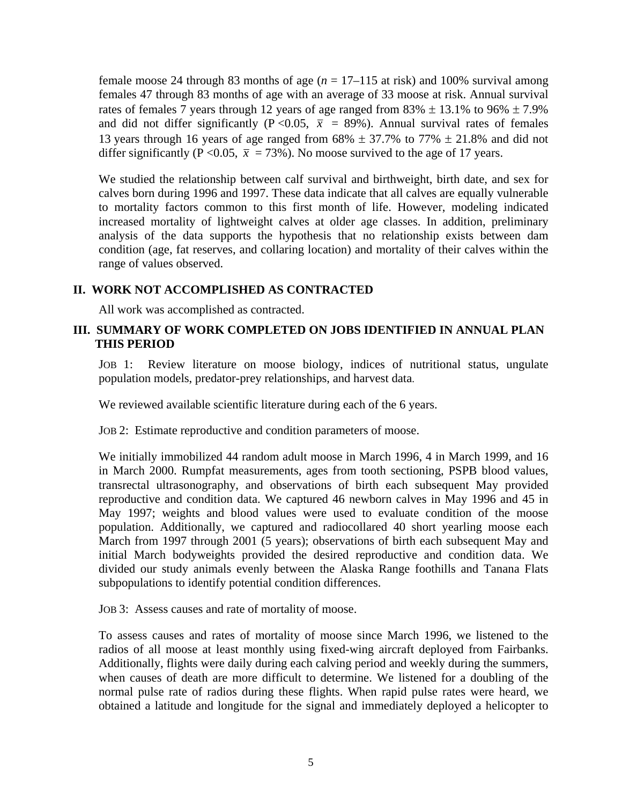female moose 24 through 83 months of age (*n* = 17–115 at risk) and 100% survival among females 47 through 83 months of age with an average of 33 moose at risk. Annual survival rates of females 7 years through 12 years of age ranged from  $83\% \pm 13.1\%$  to  $96\% \pm 7.9\%$ and did not differ significantly (P < 0.05,  $\bar{x}$  = 89%). Annual survival rates of females 13 years through 16 years of age ranged from  $68\% \pm 37.7\%$  to  $77\% \pm 21.8\%$  and did not differ significantly (P < 0.05,  $\bar{x}$  = 73%). No moose survived to the age of 17 years.

We studied the relationship between calf survival and birthweight, birth date, and sex for calves born during 1996 and 1997. These data indicate that all calves are equally vulnerable to mortality factors common to this first month of life. However, modeling indicated increased mortality of lightweight calves at older age classes. In addition, preliminary analysis of the data supports the hypothesis that no relationship exists between dam condition (age, fat reserves, and collaring location) and mortality of their calves within the range of values observed.

## **II. WORK NOT ACCOMPLISHED AS CONTRACTED**

All work was accomplished as contracted.

## **III. SUMMARY OF WORK COMPLETED ON JOBS IDENTIFIED IN ANNUAL PLAN THIS PERIOD**

JOB 1: Review literature on moose biology, indices of nutritional status, ungulate population models, predator-prey relationships, and harvest data.

We reviewed available scientific literature during each of the 6 years.

JOB 2: Estimate reproductive and condition parameters of moose.

We initially immobilized 44 random adult moose in March 1996, 4 in March 1999, and 16 in March 2000. Rumpfat measurements, ages from tooth sectioning, PSPB blood values, transrectal ultrasonography, and observations of birth each subsequent May provided reproductive and condition data. We captured 46 newborn calves in May 1996 and 45 in May 1997; weights and blood values were used to evaluate condition of the moose population. Additionally, we captured and radiocollared 40 short yearling moose each March from 1997 through 2001 (5 years); observations of birth each subsequent May and initial March bodyweights provided the desired reproductive and condition data. We divided our study animals evenly between the Alaska Range foothills and Tanana Flats subpopulations to identify potential condition differences.

JOB 3: Assess causes and rate of mortality of moose.

To assess causes and rates of mortality of moose since March 1996, we listened to the radios of all moose at least monthly using fixed-wing aircraft deployed from Fairbanks. Additionally, flights were daily during each calving period and weekly during the summers, when causes of death are more difficult to determine. We listened for a doubling of the normal pulse rate of radios during these flights. When rapid pulse rates were heard, we obtained a latitude and longitude for the signal and immediately deployed a helicopter to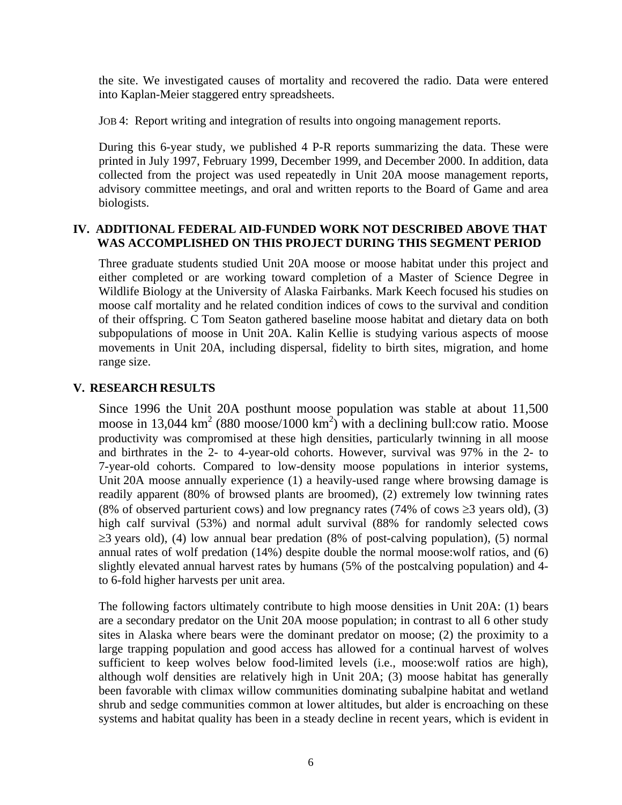the site. We investigated causes of mortality and recovered the radio. Data were entered into Kaplan-Meier staggered entry spreadsheets.

JOB 4: Report writing and integration of results into ongoing management reports.

During this 6-year study, we published 4 P-R reports summarizing the data. These were printed in July 1997, February 1999, December 1999, and December 2000. In addition, data collected from the project was used repeatedly in Unit 20A moose management reports, advisory committee meetings, and oral and written reports to the Board of Game and area biologists.

## **IV. ADDITIONAL FEDERAL AID-FUNDED WORK NOT DESCRIBED ABOVE THAT WAS ACCOMPLISHED ON THIS PROJECT DURING THIS SEGMENT PERIOD**

Three graduate students studied Unit 20A moose or moose habitat under this project and either completed or are working toward completion of a Master of Science Degree in Wildlife Biology at the University of Alaska Fairbanks. Mark Keech focused his studies on moose calf mortality and he related condition indices of cows to the survival and condition of their offspring. C Tom Seaton gathered baseline moose habitat and dietary data on both subpopulations of moose in Unit 20A. Kalin Kellie is studying various aspects of moose movements in Unit 20A, including dispersal, fidelity to birth sites, migration, and home range size.

## **V. RESEARCH RESULTS**

Since 1996 the Unit 20A posthunt moose population was stable at about 11,500 moose in 13,044 km<sup>2</sup> (880 moose/1000 km<sup>2</sup>) with a declining bull:cow ratio. Moose productivity was compromised at these high densities, particularly twinning in all moose and birthrates in the 2- to 4-year-old cohorts. However, survival was 97% in the 2- to 7-year-old cohorts. Compared to low-density moose populations in interior systems, Unit 20A moose annually experience (1) a heavily-used range where browsing damage is readily apparent (80% of browsed plants are broomed), (2) extremely low twinning rates (8% of observed parturient cows) and low pregnancy rates (74% of cows  $\geq$ 3 years old), (3) high calf survival (53%) and normal adult survival (88% for randomly selected cows  $\geq$ 3 years old), (4) low annual bear predation (8% of post-calving population), (5) normal annual rates of wolf predation (14%) despite double the normal moose:wolf ratios, and (6) slightly elevated annual harvest rates by humans (5% of the postcalving population) and 4 to 6-fold higher harvests per unit area.

The following factors ultimately contribute to high moose densities in Unit 20A: (1) bears are a secondary predator on the Unit 20A moose population; in contrast to all 6 other study sites in Alaska where bears were the dominant predator on moose; (2) the proximity to a large trapping population and good access has allowed for a continual harvest of wolves sufficient to keep wolves below food-limited levels (i.e., moose:wolf ratios are high), although wolf densities are relatively high in Unit 20A; (3) moose habitat has generally been favorable with climax willow communities dominating subalpine habitat and wetland shrub and sedge communities common at lower altitudes, but alder is encroaching on these systems and habitat quality has been in a steady decline in recent years, which is evident in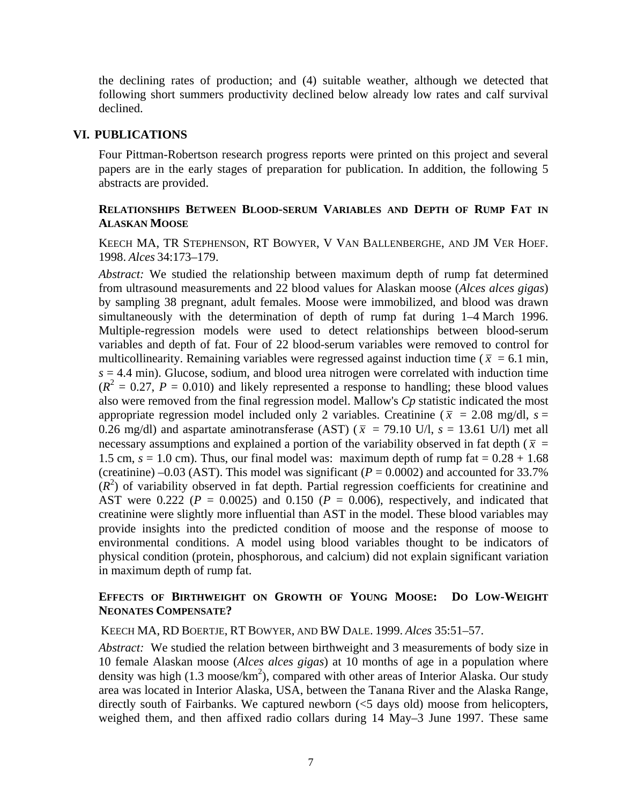the declining rates of production; and (4) suitable weather, although we detected that following short summers productivity declined below already low rates and calf survival declined.

### **VI. PUBLICATIONS**

Four Pittman-Robertson research progress reports were printed on this project and several papers are in the early stages of preparation for publication. In addition, the following 5 abstracts are provided.

## **RELATIONSHIPS BETWEEN BLOOD-SERUM VARIABLES AND DEPTH OF RUMP FAT IN ALASKAN MOOSE**

KEECH MA, TR STEPHENSON, RT BOWYER, V VAN BALLENBERGHE, AND JM VER HOEF. 1998. *Alces* 34:173–179.

*Abstract:* We studied the relationship between maximum depth of rump fat determined from ultrasound measurements and 22 blood values for Alaskan moose (*Alces alces gigas*) by sampling 38 pregnant, adult females. Moose were immobilized, and blood was drawn simultaneously with the determination of depth of rump fat during 1–4 March 1996. Multiple-regression models were used to detect relationships between blood-serum variables and depth of fat. Four of 22 blood-serum variables were removed to control for multicollinearity. Remaining variables were regressed against induction time ( $\bar{x}$  = 6.1 min,  $s = 4.4$  min). Glucose, sodium, and blood urea nitrogen were correlated with induction time  $(R^2 = 0.27, P = 0.010)$  and likely represented a response to handling; these blood values also were removed from the final regression model. Mallow's *Cp* statistic indicated the most appropriate regression model included only 2 variables. Creatinine ( $\bar{x}$  = 2.08 mg/dl,  $s$  = 0.26 mg/dl) and aspartate aminotransferase (AST) ( $\bar{x}$  = 79.10 U/l,  $s$  = 13.61 U/l) met all necessary assumptions and explained a portion of the variability observed in fat depth ( $\bar{x}$  = 1.5 cm,  $s = 1.0$  cm). Thus, our final model was: maximum depth of rump fat  $= 0.28 + 1.68$ (creatinine) –0.03 (AST). This model was significant ( $P = 0.0002$ ) and accounted for 33.7%  $(R<sup>2</sup>)$  of variability observed in fat depth. Partial regression coefficients for creatinine and AST were 0.222 ( $P = 0.0025$ ) and 0.150 ( $P = 0.006$ ), respectively, and indicated that creatinine were slightly more influential than AST in the model. These blood variables may provide insights into the predicted condition of moose and the response of moose to environmental conditions. A model using blood variables thought to be indicators of physical condition (protein, phosphorous, and calcium) did not explain significant variation in maximum depth of rump fat.

## **EFFECTS OF BIRTHWEIGHT ON GROWTH OF YOUNG MOOSE: DO LOW-WEIGHT NEONATES COMPENSATE?**

KEECH MA, RD BOERTJE, RT BOWYER, AND BW DALE. 1999. *Alces* 35:51–57.

*Abstract:* We studied the relation between birthweight and 3 measurements of body size in 10 female Alaskan moose (*Alces alces gigas*) at 10 months of age in a population where density was high  $(1.3 \text{ moose/km}^2)$ , compared with other areas of Interior Alaska. Our study area was located in Interior Alaska, USA, between the Tanana River and the Alaska Range, directly south of Fairbanks. We captured newborn (<5 days old) moose from helicopters, weighed them, and then affixed radio collars during 14 May–3 June 1997. These same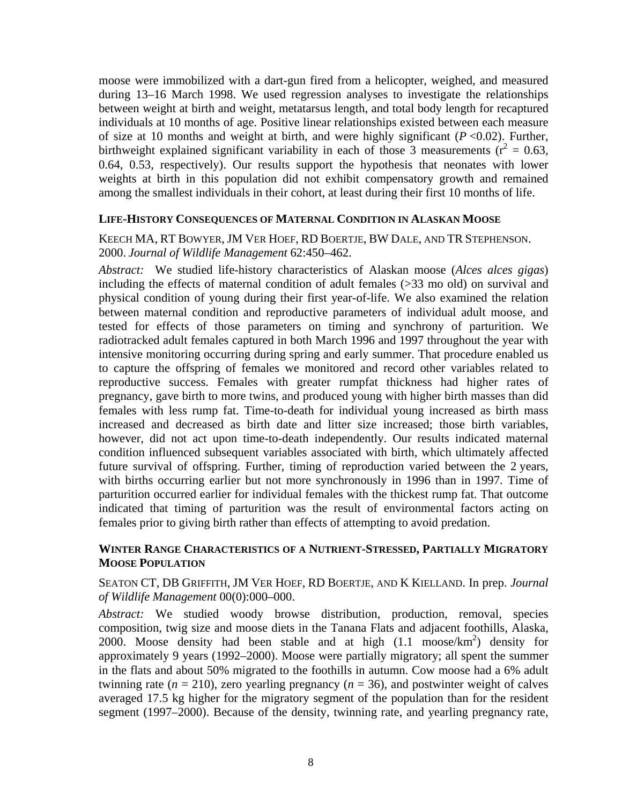moose were immobilized with a dart-gun fired from a helicopter, weighed, and measured during 13–16 March 1998. We used regression analyses to investigate the relationships between weight at birth and weight, metatarsus length, and total body length for recaptured individuals at 10 months of age. Positive linear relationships existed between each measure of size at 10 months and weight at birth, and were highly significant (*P* <0.02). Further, birthweight explained significant variability in each of those 3 measurements ( $r^2 = 0.63$ , 0.64, 0.53, respectively). Our results support the hypothesis that neonates with lower weights at birth in this population did not exhibit compensatory growth and remained among the smallest individuals in their cohort, at least during their first 10 months of life.

## **LIFE-HISTORY CONSEQUENCES OF MATERNAL CONDITION IN ALASKAN MOOSE**

KEECH MA, RT BOWYER, JM VER HOEF, RD BOERTJE, BW DALE, AND TR STEPHENSON. 2000. *Journal of Wildlife Management* 62:450–462.

*Abstract:* We studied life-history characteristics of Alaskan moose (*Alces alces gigas*) including the effects of maternal condition of adult females (>33 mo old) on survival and physical condition of young during their first year-of-life. We also examined the relation between maternal condition and reproductive parameters of individual adult moose, and tested for effects of those parameters on timing and synchrony of parturition. We radiotracked adult females captured in both March 1996 and 1997 throughout the year with intensive monitoring occurring during spring and early summer. That procedure enabled us to capture the offspring of females we monitored and record other variables related to reproductive success. Females with greater rumpfat thickness had higher rates of pregnancy, gave birth to more twins, and produced young with higher birth masses than did females with less rump fat. Time-to-death for individual young increased as birth mass increased and decreased as birth date and litter size increased; those birth variables, however, did not act upon time-to-death independently. Our results indicated maternal condition influenced subsequent variables associated with birth, which ultimately affected future survival of offspring. Further, timing of reproduction varied between the 2 years, with births occurring earlier but not more synchronously in 1996 than in 1997. Time of parturition occurred earlier for individual females with the thickest rump fat. That outcome indicated that timing of parturition was the result of environmental factors acting on females prior to giving birth rather than effects of attempting to avoid predation.

## **WINTER RANGE CHARACTERISTICS OF A NUTRIENT-STRESSED, PARTIALLY MIGRATORY MOOSE POPULATION**

SEATON CT, DB GRIFFITH, JM VER HOEF, RD BOERTJE, AND K KIELLAND. In prep. *Journal of Wildlife Management* 00(0):000–000.

*Abstract:* We studied woody browse distribution, production, removal, species composition, twig size and moose diets in the Tanana Flats and adjacent foothills, Alaska, 2000. Moose density had been stable and at high  $(1.1 \text{ moose/km}^2)$  density for approximately 9 years (1992–2000). Moose were partially migratory; all spent the summer in the flats and about 50% migrated to the foothills in autumn. Cow moose had a 6% adult twinning rate  $(n = 210)$ , zero yearling pregnancy  $(n = 36)$ , and postwinter weight of calves averaged 17.5 kg higher for the migratory segment of the population than for the resident segment (1997–2000). Because of the density, twinning rate, and yearling pregnancy rate,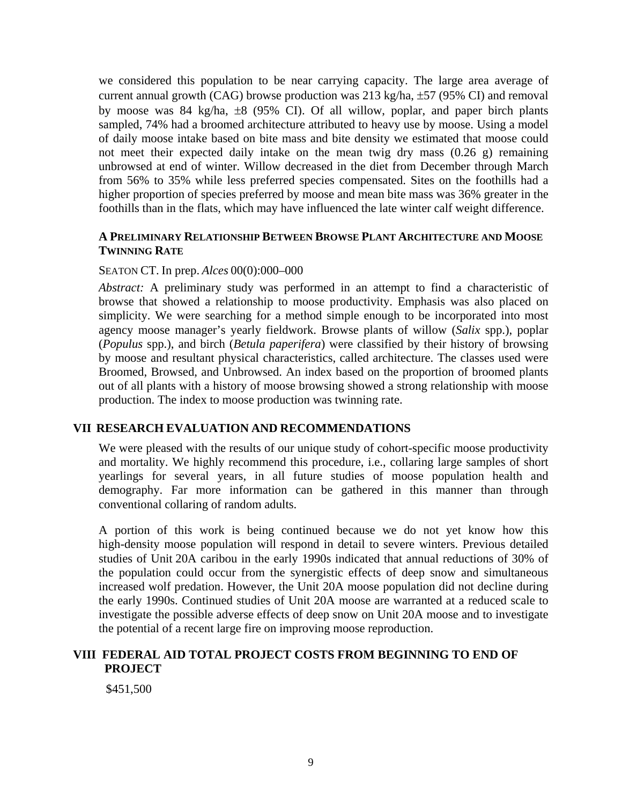we considered this population to be near carrying capacity. The large area average of current annual growth (CAG) browse production was 213 kg/ha, ±57 (95% CI) and removal by moose was 84 kg/ha, ±8 (95% CI). Of all willow, poplar, and paper birch plants sampled, 74% had a broomed architecture attributed to heavy use by moose. Using a model of daily moose intake based on bite mass and bite density we estimated that moose could not meet their expected daily intake on the mean twig dry mass (0.26 g) remaining unbrowsed at end of winter. Willow decreased in the diet from December through March from 56% to 35% while less preferred species compensated. Sites on the foothills had a higher proportion of species preferred by moose and mean bite mass was 36% greater in the foothills than in the flats, which may have influenced the late winter calf weight difference.

## **A PRELIMINARY RELATIONSHIP BETWEEN BROWSE PLANT ARCHITECTURE AND MOOSE TWINNING RATE**

#### SEATON CT. In prep. *Alces* 00(0):000–000

*Abstract:* A preliminary study was performed in an attempt to find a characteristic of browse that showed a relationship to moose productivity. Emphasis was also placed on simplicity. We were searching for a method simple enough to be incorporated into most agency moose manager's yearly fieldwork. Browse plants of willow (*Salix* spp.), poplar (*Populus* spp.), and birch (*Betula paperifera*) were classified by their history of browsing by moose and resultant physical characteristics, called architecture. The classes used were Broomed, Browsed, and Unbrowsed. An index based on the proportion of broomed plants out of all plants with a history of moose browsing showed a strong relationship with moose production. The index to moose production was twinning rate.

#### **VII RESEARCH EVALUATION AND RECOMMENDATIONS**

We were pleased with the results of our unique study of cohort-specific moose productivity and mortality. We highly recommend this procedure, i.e., collaring large samples of short yearlings for several years, in all future studies of moose population health and demography. Far more information can be gathered in this manner than through conventional collaring of random adults.

A portion of this work is being continued because we do not yet know how this high-density moose population will respond in detail to severe winters. Previous detailed studies of Unit 20A caribou in the early 1990s indicated that annual reductions of 30% of the population could occur from the synergistic effects of deep snow and simultaneous increased wolf predation. However, the Unit 20A moose population did not decline during the early 1990s. Continued studies of Unit 20A moose are warranted at a reduced scale to investigate the possible adverse effects of deep snow on Unit 20A moose and to investigate the potential of a recent large fire on improving moose reproduction.

## **VIII FEDERAL AID TOTAL PROJECT COSTS FROM BEGINNING TO END OF PROJECT**

\$451,500